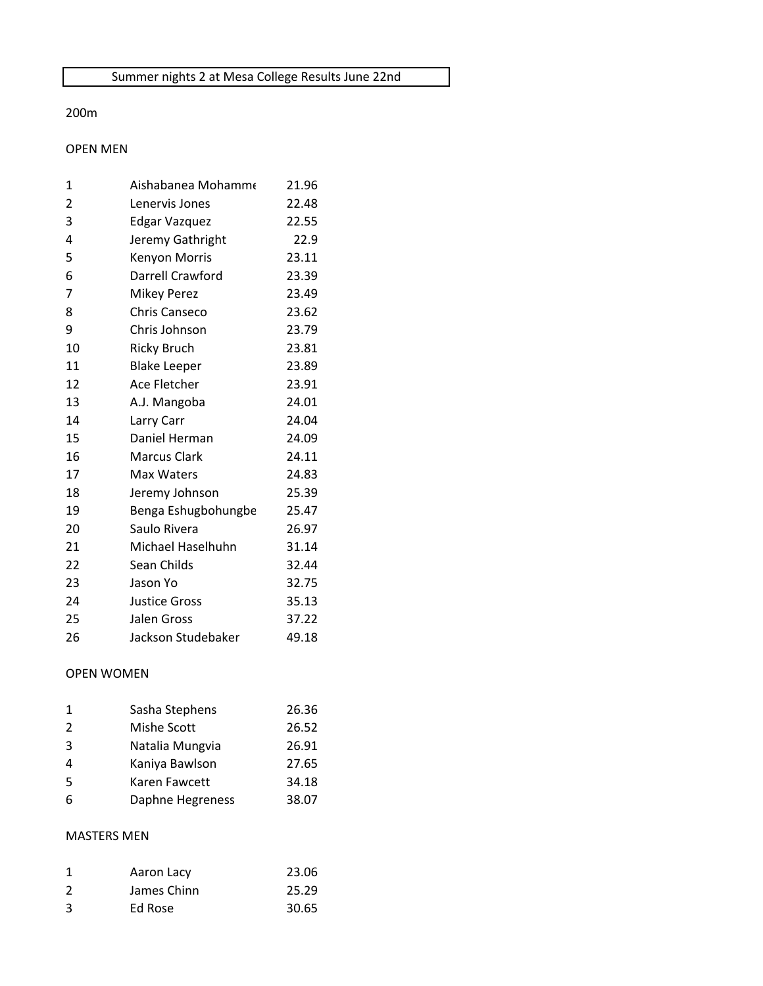#### 200m

## OPEN MEN

| 1              | Aishabanea Mohamme   | 21.96 |
|----------------|----------------------|-------|
| $\overline{2}$ | Lenervis Jones       | 22.48 |
| 3              | <b>Edgar Vazquez</b> | 22.55 |
| 4              | Jeremy Gathright     | 22.9  |
| 5              | Kenyon Morris        | 23.11 |
| 6              | Darrell Crawford     | 23.39 |
| 7              | <b>Mikey Perez</b>   | 23.49 |
| 8              | Chris Canseco        | 23.62 |
| 9              | Chris Johnson        | 23.79 |
| 10             | <b>Ricky Bruch</b>   | 23.81 |
| 11             | <b>Blake Leeper</b>  | 23.89 |
| 12             | Ace Fletcher         | 23.91 |
| 13             | A.J. Mangoba         | 24.01 |
| 14             | Larry Carr           | 24.04 |
| 15             | Daniel Herman        | 24.09 |
| 16             | <b>Marcus Clark</b>  | 24.11 |
| 17             | Max Waters           | 24.83 |
| 18             | Jeremy Johnson       | 25.39 |
| 19             | Benga Eshugbohungbe  | 25.47 |
| 20             | Saulo Rivera         | 26.97 |
| 21             | Michael Haselhuhn    | 31.14 |
| 22             | Sean Childs          | 32.44 |
| 23             | Jason Yo             | 32.75 |
| 24             | <b>Justice Gross</b> | 35.13 |
| 25             | Jalen Gross          | 37.22 |
| 26             | Jackson Studebaker   | 49.18 |

# OPEN WOMEN

| 1             | Sasha Stephens   | 26.36 |
|---------------|------------------|-------|
| $\mathcal{L}$ | Mishe Scott      | 26.52 |
| 3             | Natalia Mungvia  | 26.91 |
| 4             | Kaniya Bawlson   | 27.65 |
| 5             | Karen Fawcett    | 34.18 |
| 6             | Daphne Hegreness | 38.07 |
|               |                  |       |

### MASTERS MEN

| -1 | Aaron Lacy  | 23.06 |
|----|-------------|-------|
| 2  | James Chinn | 25.29 |
| 3  | Ed Rose     | 30.65 |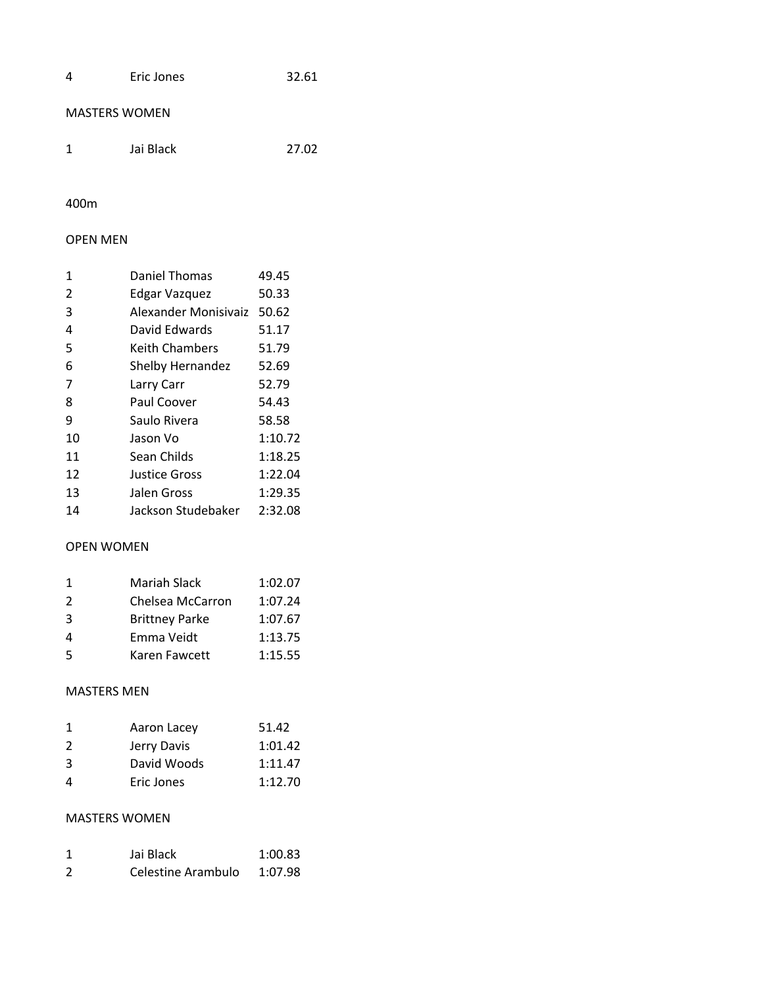| 4 | Eric Jones | 32.61 |
|---|------------|-------|
|   |            |       |

### MASTERS WOMEN

| 1 | Jai Black | 27.02 |
|---|-----------|-------|
|   |           |       |

# 400m

## OPEN MEN

| 1  | <b>Daniel Thomas</b> | 49.45   |
|----|----------------------|---------|
| 2  | Edgar Vazquez        | 50.33   |
| 3  | Alexander Monisivaiz | 50.62   |
| 4  | David Edwards        | 51.17   |
| 5  | Keith Chambers       | 51.79   |
| 6  | Shelby Hernandez     | 52.69   |
| 7  | Larry Carr           | 52.79   |
| 8  | Paul Coover          | 54.43   |
| 9  | Saulo Rivera         | 58.58   |
| 10 | Jason Vo             | 1:10.72 |
| 11 | Sean Childs          | 1:18.25 |
| 12 | <b>Justice Gross</b> | 1:22.04 |
| 13 | Jalen Gross          | 1:29.35 |
| 14 | Jackson Studebaker   | 2:32.08 |

#### OPEN WOMEN

| -1 | Mariah Slack          | 1:02.07 |
|----|-----------------------|---------|
| 2  | Chelsea McCarron      | 1:07.24 |
| 3  | <b>Brittney Parke</b> | 1:07.67 |
| 4  | Emma Veidt            | 1:13.75 |
| 5  | Karen Fawcett         | 1:15.55 |

#### MASTERS MEN

| 1 | Aaron Lacey | 51.42   |
|---|-------------|---------|
| 2 | Jerry Davis | 1:01.42 |
| 3 | David Woods | 1:11.47 |
| 4 | Eric Jones  | 1:12.70 |

### MASTERS WOMEN

| 1 | Jai Black          | 1:00.83 |
|---|--------------------|---------|
| 2 | Celestine Arambulo | 1:07.98 |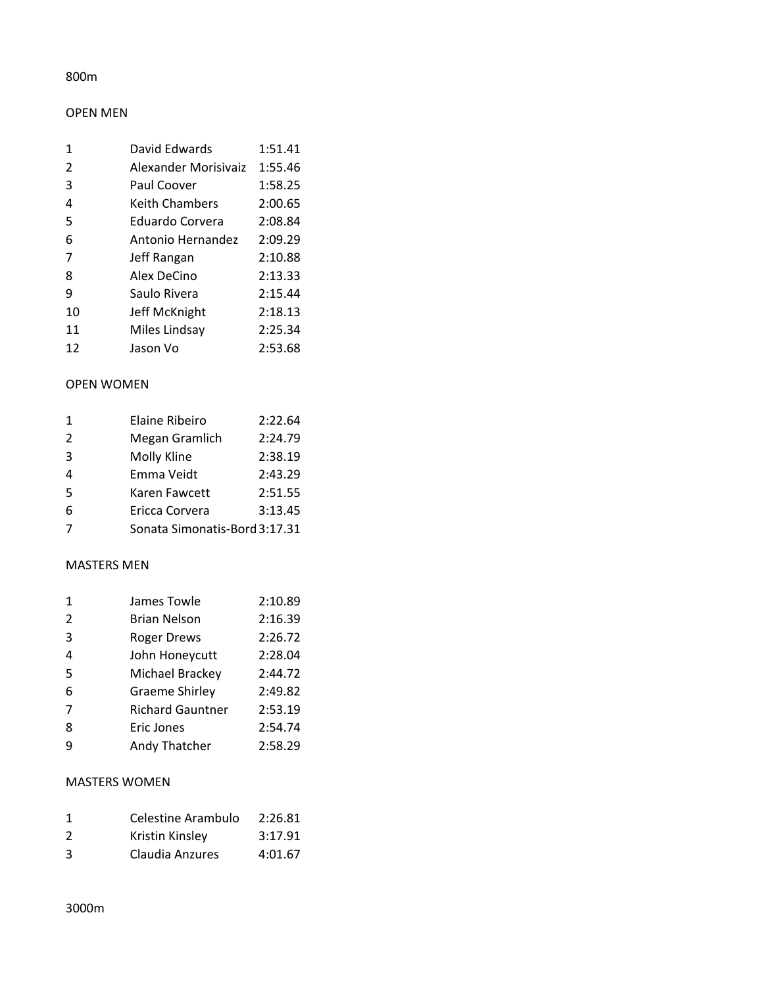### 800m

### OPEN MEN

| 1  | David Edwards         | 1:51.41 |
|----|-----------------------|---------|
| 2  | Alexander Morisivaiz  | 1:55.46 |
| 3  | Paul Coover           | 1:58.25 |
| 4  | <b>Keith Chambers</b> | 2:00.65 |
| 5  | Eduardo Corvera       | 2:08.84 |
| 6  | Antonio Hernandez     | 2:09.29 |
| 7  | Jeff Rangan           | 2:10.88 |
| 8  | Alex DeCino           | 2:13.33 |
| 9  | Saulo Rivera          | 2:15.44 |
| 10 | Jeff McKnight         | 2:18.13 |
| 11 | Miles Lindsay         | 2:25.34 |
| 12 | Jason Vo              | 2:53.68 |

#### OPEN WOMEN

| $\mathbf{1}$ | <b>Elaine Ribeiro</b>         | 2:22.64 |
|--------------|-------------------------------|---------|
| 2            | Megan Gramlich                | 2:24.79 |
| 3            | Molly Kline                   | 2:38.19 |
| 4            | Emma Veidt                    | 2:43.29 |
| 5            | Karen Fawcett                 | 2:51.55 |
| 6            | Ericca Corvera                | 3:13.45 |
|              | Sonata Simonatis-Bord 3:17.31 |         |

#### MASTERS MEN

| $\mathbf 1$ | James Towle             | 2:10.89 |
|-------------|-------------------------|---------|
| 2           | <b>Brian Nelson</b>     | 2:16.39 |
| 3           | <b>Roger Drews</b>      | 2:26.72 |
| 4           | John Honeycutt          | 2:28.04 |
| 5           | Michael Brackey         | 2:44.72 |
| 6           | <b>Graeme Shirley</b>   | 2:49.82 |
| 7           | <b>Richard Gauntner</b> | 2:53.19 |
| 8           | Eric Jones              | 2:54.74 |
| q           | Andy Thatcher           | 2:58.29 |

## MASTERS WOMEN

| 1 | Celestine Arambulo | 2:26.81 |
|---|--------------------|---------|
| 2 | Kristin Kinsley    | 3:17.91 |
| 3 | Claudia Anzures    | 4:01.67 |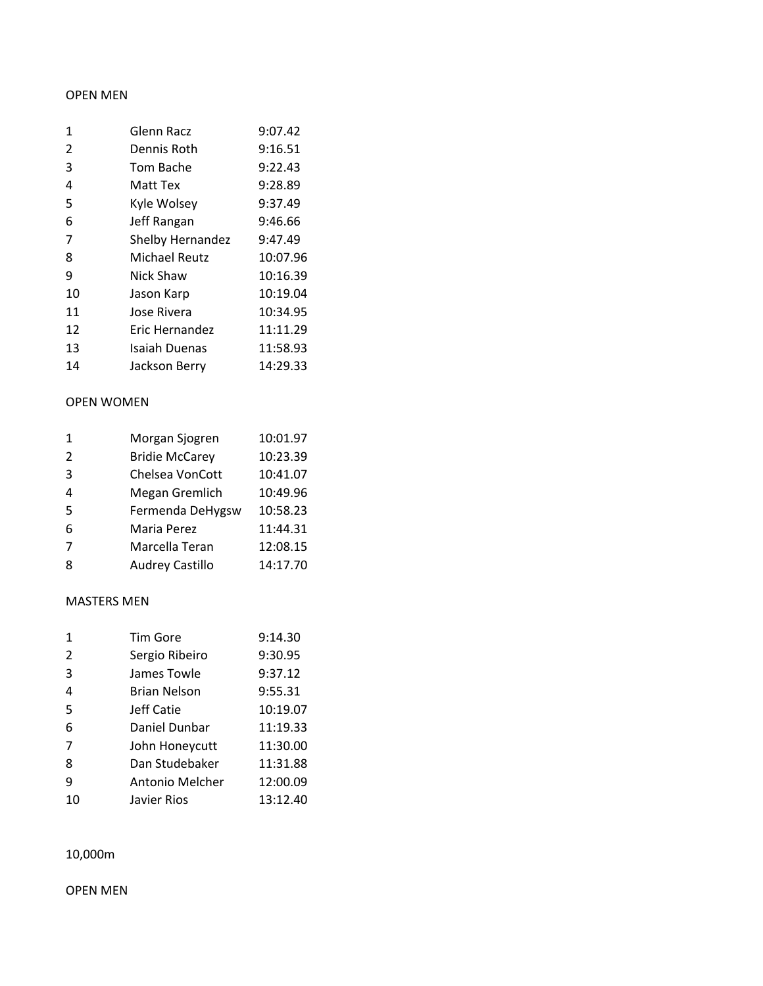#### OPEN MEN

| 1              | Glenn Racz              | 9:07.42  |
|----------------|-------------------------|----------|
| $\overline{2}$ | Dennis Roth             | 9:16.51  |
| 3              | Tom Bache               | 9:22.43  |
| 4              | Matt Tex                | 9:28.89  |
| 5              | Kyle Wolsey             | 9:37.49  |
| 6              | Jeff Rangan             | 9:46.66  |
| 7              | <b>Shelby Hernandez</b> | 9:47.49  |
| 8              | <b>Michael Reutz</b>    | 10:07.96 |
| 9              | Nick Shaw               | 10:16.39 |
| 10             | Jason Karp              | 10:19.04 |
| 11             | Jose Rivera             | 10:34.95 |
| 12             | Eric Hernandez          | 11:11.29 |
| 13             | <b>Isaiah Duenas</b>    | 11:58.93 |
| 14             | Jackson Berry           | 14:29.33 |

#### OPEN WOMEN

| 1 | Morgan Sjogren         | 10:01.97 |
|---|------------------------|----------|
| 2 | <b>Bridie McCarey</b>  | 10:23.39 |
| 3 | Chelsea VonCott        | 10:41.07 |
| 4 | Megan Gremlich         | 10:49.96 |
| 5 | Fermenda DeHygsw       | 10:58.23 |
| 6 | Maria Perez            | 11:44.31 |
| 7 | Marcella Teran         | 12:08.15 |
| 8 | <b>Audrey Castillo</b> | 14:17.70 |

#### MASTERS MEN

| 1              | <b>Tim Gore</b>     | 9:14.30  |
|----------------|---------------------|----------|
| 2              | Sergio Ribeiro      | 9:30.95  |
| 3              | James Towle         | 9:37.12  |
| 4              | <b>Brian Nelson</b> | 9:55.31  |
| 5              | Jeff Catie          | 10:19.07 |
| 6              | Daniel Dunbar       | 11:19.33 |
| $\overline{7}$ | John Honeycutt      | 11:30.00 |
| 8              | Dan Studebaker      | 11:31.88 |
| 9              | Antonio Melcher     | 12:00.09 |
| 10             | Javier Rios         | 13:12.40 |

10,000m

OPEN MEN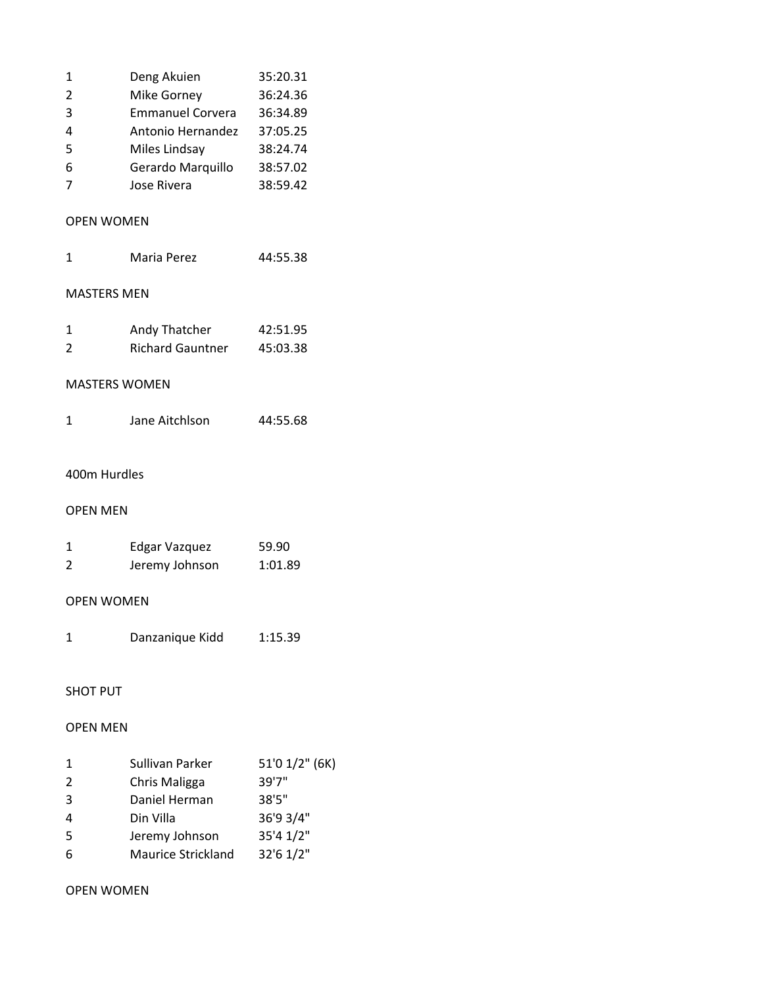| 1 | Deng Akuien             | 35:20.31 |
|---|-------------------------|----------|
| 2 | Mike Gorney             | 36:24.36 |
| 3 | <b>Emmanuel Corvera</b> | 36:34.89 |
| 4 | Antonio Hernandez       | 37:05.25 |
| 5 | Miles Lindsay           | 38:24.74 |
| 6 | Gerardo Marquillo       | 38:57.02 |
| 7 | Jose Rivera             | 38:59.42 |
|   |                         |          |

## OPEN WOMEN

# MASTERS MEN

| -1 | Andy Thatcher           | 42:51.95 |
|----|-------------------------|----------|
| 2  | <b>Richard Gauntner</b> | 45:03.38 |

## MASTERS WOMEN

# 400m Hurdles

#### OPEN MEN

|   | Edgar Vazquez  | 59.90   |
|---|----------------|---------|
| 2 | Jeremy Johnson | 1:01.89 |

# OPEN WOMEN

| Danzanique Kidd | 1:15.39 |
|-----------------|---------|
|                 |         |

### SHOT PUT

#### OPEN MEN

| 1 | Sullivan Parker           | 51'0 1/2" (6K) |
|---|---------------------------|----------------|
| 2 | Chris Maligga             | 39'7"          |
| 3 | Daniel Herman             | 38'5"          |
| 4 | Din Villa                 | 36'9 3/4"      |
| 5 | Jeremy Johnson            | 35'4 1/2"      |
| 6 | <b>Maurice Strickland</b> | 32'6 1/2"      |

## OPEN WOMEN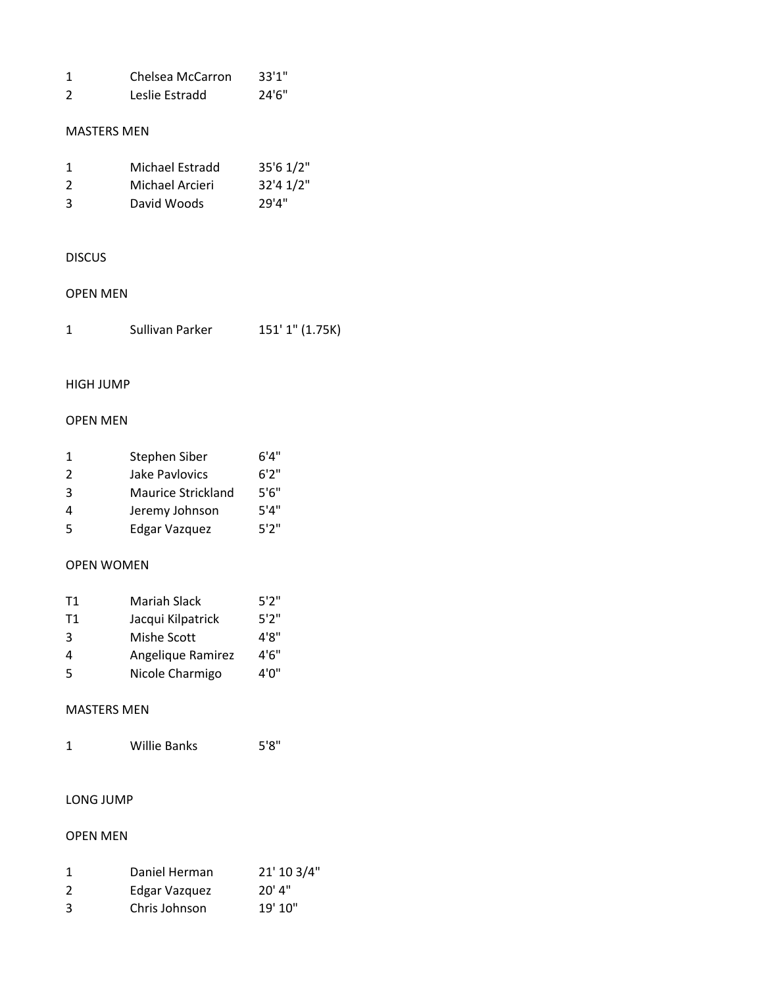|    | Chelsea McCarron | 33'1'' |
|----|------------------|--------|
| -2 | Leslie Estradd   | 24'6'' |

#### MASTERS MEN

| -1 | Michael Estradd | 35'6 1/2" |
|----|-----------------|-----------|
| 2  | Michael Arcieri | 32'4 1/2" |
| 3  | David Woods     | 29'4"     |

## DISCUS

### OPEN MEN

| Sullivan Parker | 151' 1" (1.75K) |  |
|-----------------|-----------------|--|
|                 |                 |  |

## HIGH JUMP

# OPEN MEN

| 1 | Stephen Siber             | 6'4'' |
|---|---------------------------|-------|
| 2 | Jake Pavlovics            | 6'2'' |
| 3 | <b>Maurice Strickland</b> | 5'6'' |
| 4 | Jeremy Johnson            | 5'4'' |
| 5 | <b>Edgar Vazquez</b>      | 5'2'' |

## OPEN WOMEN

| T1 | Mariah Slack      | 5'2'' |
|----|-------------------|-------|
| T1 | Jacqui Kilpatrick | 5'2'' |
| 3  | Mishe Scott       | 4'8'' |
| 4  | Angelique Ramirez | 4'6'' |
| .5 | Nicole Charmigo   | 4'0"  |

## MASTERS MEN

| <b>Willie Banks</b> | 5'8'' |
|---------------------|-------|
|                     |       |

## LONG JUMP

### OPEN MEN

|   | Daniel Herman | 21' 10 3/4" |
|---|---------------|-------------|
| 2 | Edgar Vazquez | 20'4''      |
| 3 | Chris Johnson | 19' 10"     |